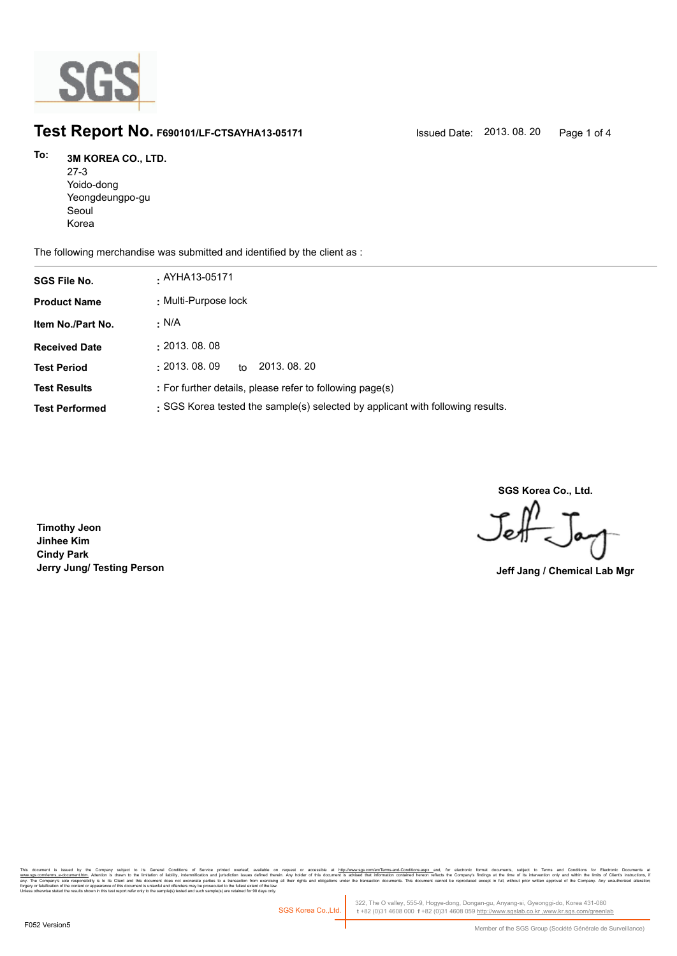

# **Test Report No. F690101/LF-CTSAYHA13-05171** Issued Date: 2013. 08. 20 Page 1 of 4

### **3M KOREA CO., LTD. To:**

27-3 Yoido-dong Yeongdeungpo-gu Seoul Korea

The following merchandise was submitted and identified by the client as :

| <b>SGS File No.</b>   | . AYHA13-05171                                                                 |
|-----------------------|--------------------------------------------------------------------------------|
| <b>Product Name</b>   | : Multi-Purpose lock                                                           |
| Item No./Part No.     | · N/A                                                                          |
| <b>Received Date</b>  | : 2013.08.08                                                                   |
| <b>Test Period</b>    | 2013, 08, 20<br>: 2013.08.09<br>to                                             |
| <b>Test Results</b>   | : For further details, please refer to following page(s)                       |
| <b>Test Performed</b> | : SGS Korea tested the sample(s) selected by applicant with following results. |

**SGS Korea Co., Ltd.**

Jeff

**Timothy Jeon Jinhee Kim Cindy Park Jerry Jung/ Testing Person Jeff Jang / Chemical Lab Mgr**

, company sugna, as cerain consmons or servor pnme overa, available that the mate of accessive at <u>mitovawess compendent means associated that indiversases and</u> compensive compensive interest in the distinguish in Temperat forgery or falsification of the content or appearance of this document is unlawful and offenders may be prosecuted to the fullest extent of the law.<br>Unless otherwise stated the results shown in this test report refer only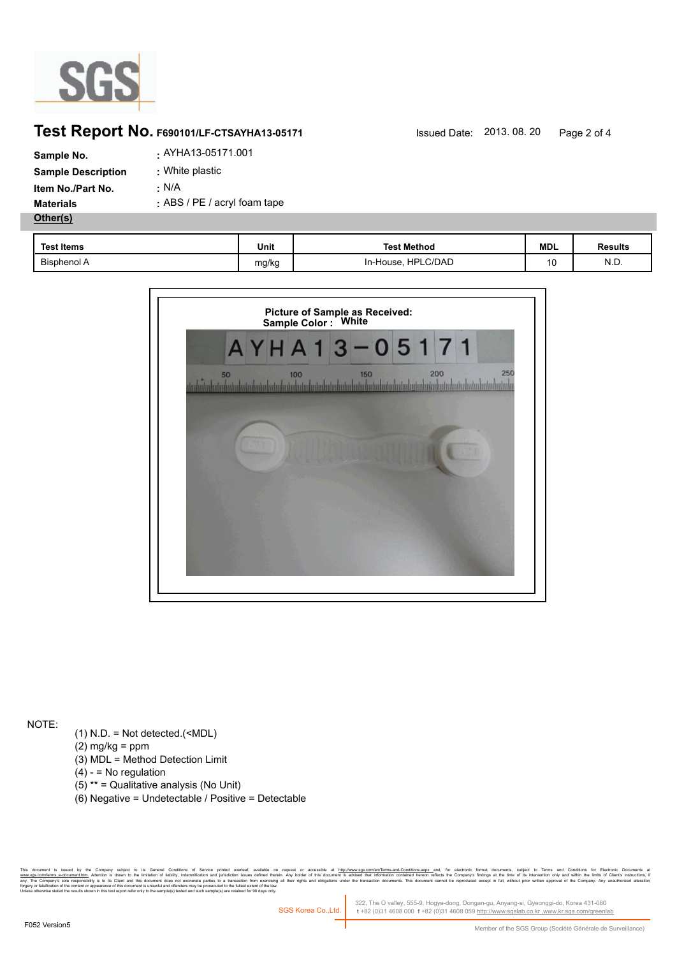

## **Test Report No. F690101/LF-CTSAYHA13-05171** Issued Date: 2013. 08. 20 Page 2 of 4

| Sample No.                | . AYHA13-05171.001           |
|---------------------------|------------------------------|
| <b>Sample Description</b> | : White plastic              |
| Item No./Part No.         | : N/A                        |
| <b>Materials</b>          | : ABS / PE / acryl foam tape |
| Other(s)                  |                              |
|                           |                              |

| <b>Test Items</b> | Unit  | <b>Test Method</b>                | <b>MDL</b> | <b>Results</b> |
|-------------------|-------|-----------------------------------|------------|----------------|
| Bisphenol A       | mg/kg | LC/DAD<br><b>HPI</b><br>In-House, | 10         | N.D.           |



NOTE:

- (1) N.D. = Not detected.(<MDL)
- $(2)$  mg/kg = ppm
- (3) MDL = Method Detection Limit
- $(4) -$  = No regulation
- (5) \*\* = Qualitative analysis (No Unit)
- (6) Negative = Undetectable / Positive = Detectable

r Company subject to General Condings of Service primide overleat, available on request or accessible at <u>mitovinwwss.commenterm-ana-Compions aspy</u> and, for election is broken that observe the distribution is subject to le es to a transaction from exercising all<br>ecuted to the fullest extent of the law.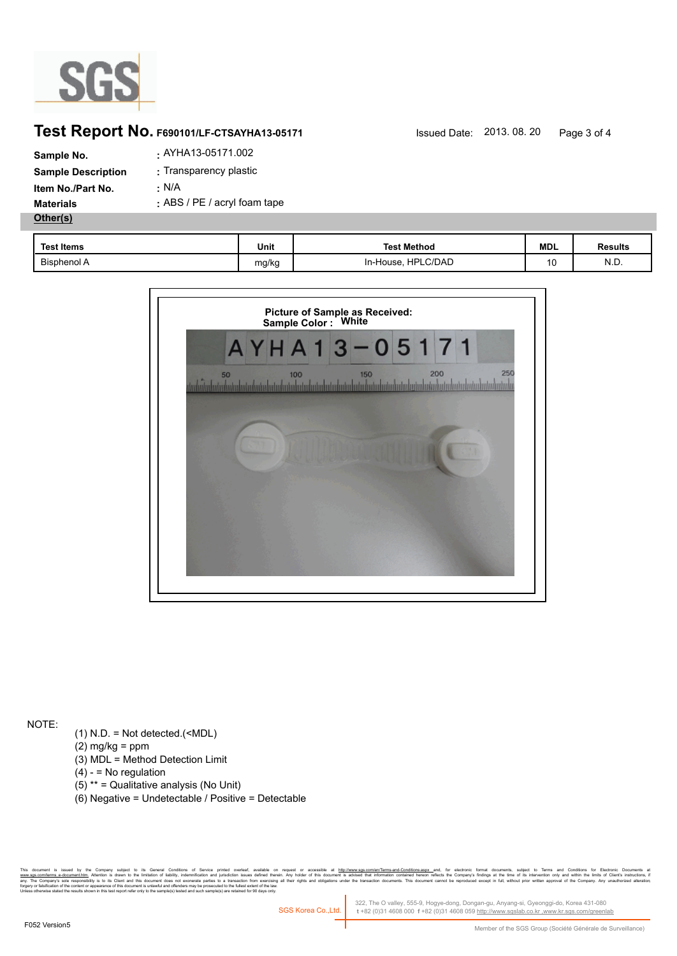

## **Test Report No. F690101/LF-CTSAYHA13-05171** Issued Date: 2013. 08. 20 Page 3 of 4

| Sample No.                | . AYHA13-05171.002           |
|---------------------------|------------------------------|
| <b>Sample Description</b> | : Transparency plastic       |
| Item No./Part No.         | : N/A                        |
| <b>Materials</b>          | : ABS / PE / acryl foam tape |
| Other(s)                  |                              |
|                           |                              |

| <b>Test Items</b>  | Unit  | <b>Test Method</b>           | <b>MDL</b> | Results |
|--------------------|-------|------------------------------|------------|---------|
| <b>Bisphenol A</b> | mg/kg | <b>HPLC/DAD</b><br>In-House, | 10         | N.D.    |



NOTE:

- (1) N.D. = Not detected.(<MDL)
- $(2)$  mg/kg = ppm
- (3) MDL = Method Detection Limit
- $(4) -$  = No regulation
- (5) \*\* = Qualitative analysis (No Unit)
- (6) Negative = Undetectable / Positive = Detectable

r Company subject to demail Condings of Service pumled overled, an allable on request or accessible at <u>mitovinwws sconnen/leme-and-Condings asy.</u> and, by electronic boundering, subject to lemma in company indings a the ti es to a transaction from exercising all<br>ecuted to the fullest extent of the law.